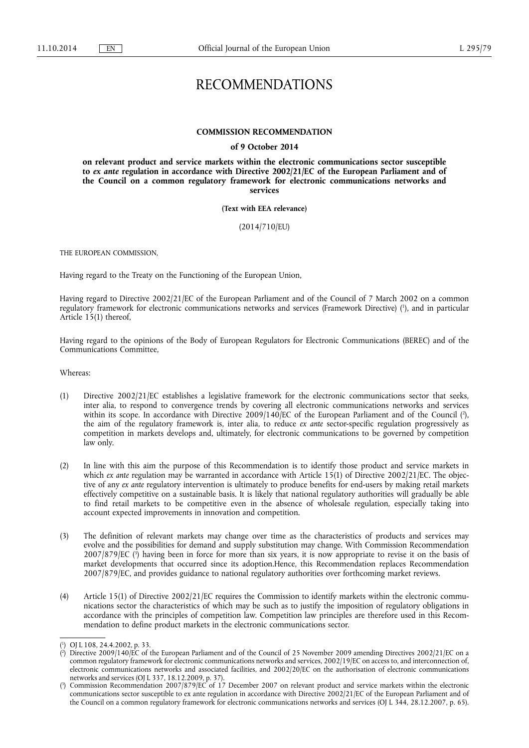## RECOMMENDATIONS

## **COMMISSION RECOMMENDATION**

## **of 9 October 2014**

**on relevant product and service markets within the electronic communications sector susceptible to** *ex ante* **regulation in accordance with Directive 2002/21/EC of the European Parliament and of the Council on a common regulatory framework for electronic communications networks and services** 

**(Text with EEA relevance)** 

(2014/710/EU)

THE EUROPEAN COMMISSION,

Having regard to the Treaty on the Functioning of the European Union,

Having regard to Directive 2002/21/EC of the European Parliament and of the Council of 7 March 2002 on a common regulatory framework for electronic communications networks and services (Framework Directive) ( 1 ), and in particular Article 15(1) thereof,

Having regard to the opinions of the Body of European Regulators for Electronic Communications (BEREC) and of the Communications Committee,

Whereas:

- (1) Directive 2002/21/EC establishes a legislative framework for the electronic communications sector that seeks, inter alia, to respond to convergence trends by covering all electronic communications networks and services within its scope. In accordance with Directive 2009/140/EC of the European Parliament and of the Council (?), the aim of the regulatory framework is, inter alia, to reduce *ex ante* sector-specific regulation progressively as competition in markets develops and, ultimately, for electronic communications to be governed by competition law only.
- (2) In line with this aim the purpose of this Recommendation is to identify those product and service markets in which *ex ante* regulation may be warranted in accordance with Article 15(1) of Directive 2002/21/EC. The objective of any *ex ante* regulatory intervention is ultimately to produce benefits for end-users by making retail markets effectively competitive on a sustainable basis. It is likely that national regulatory authorities will gradually be able to find retail markets to be competitive even in the absence of wholesale regulation, especially taking into account expected improvements in innovation and competition.
- (3) The definition of relevant markets may change over time as the characteristics of products and services may evolve and the possibilities for demand and supply substitution may change. With Commission Recommendation 2007/879/EC ( 3 ) having been in force for more than six years, it is now appropriate to revise it on the basis of market developments that occurred since its adoption.Hence, this Recommendation replaces Recommendation 2007/879/EC, and provides guidance to national regulatory authorities over forthcoming market reviews.
- (4) Article 15(1) of Directive 2002/21/EC requires the Commission to identify markets within the electronic communications sector the characteristics of which may be such as to justify the imposition of regulatory obligations in accordance with the principles of competition law. Competition law principles are therefore used in this Recommendation to define product markets in the electronic communications sector.

<sup>(</sup> 1 ) OJ L 108, 24.4.2002, p. 33.

<sup>(</sup> 2 ) Directive 2009/140/EC of the European Parliament and of the Council of 25 November 2009 amending Directives 2002/21/EC on a common regulatory framework for electronic communications networks and services, 2002/19/EC on access to, and interconnection of, electronic communications networks and associated facilities, and 2002/20/EC on the authorisation of electronic communications networks and services (OJ L 337, 18.12.2009, p. 37).

<sup>(</sup> 3 ) Commission Recommendation 2007/879/EC of 17 December 2007 on relevant product and service markets within the electronic communications sector susceptible to ex ante regulation in accordance with Directive 2002/21/EC of the European Parliament and of the Council on a common regulatory framework for electronic communications networks and services (OJ L 344, 28.12.2007, p. 65).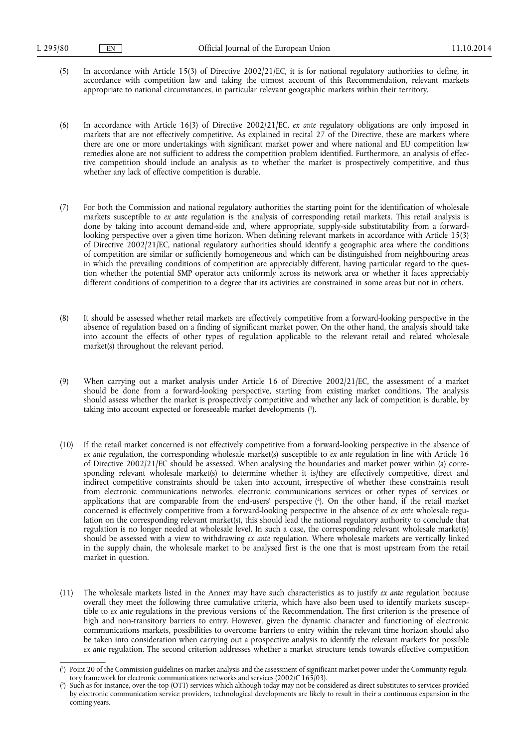(5) In accordance with Article 15(3) of Directive 2002/21/EC, it is for national regulatory authorities to define, in accordance with competition law and taking the utmost account of this Recommendation, relevant markets appropriate to national circumstances, in particular relevant geographic markets within their territory.

(6) In accordance with Article 16(3) of Directive 2002/21/EC, *ex ante* regulatory obligations are only imposed in markets that are not effectively competitive. As explained in recital 27 of the Directive, these are markets where there are one or more undertakings with significant market power and where national and EU competition law remedies alone are not sufficient to address the competition problem identified. Furthermore, an analysis of effective competition should include an analysis as to whether the market is prospectively competitive, and thus whether any lack of effective competition is durable.

- (7) For both the Commission and national regulatory authorities the starting point for the identification of wholesale markets susceptible to *ex ante* regulation is the analysis of corresponding retail markets. This retail analysis is done by taking into account demand-side and, where appropriate, supply-side substitutability from a forwardlooking perspective over a given time horizon. When defining relevant markets in accordance with Article 15(3) of Directive 2002/21/EC, national regulatory authorities should identify a geographic area where the conditions of competition are similar or sufficiently homogeneous and which can be distinguished from neighbouring areas in which the prevailing conditions of competition are appreciably different, having particular regard to the question whether the potential SMP operator acts uniformly across its network area or whether it faces appreciably different conditions of competition to a degree that its activities are constrained in some areas but not in others.
- (8) It should be assessed whether retail markets are effectively competitive from a forward-looking perspective in the absence of regulation based on a finding of significant market power. On the other hand, the analysis should take into account the effects of other types of regulation applicable to the relevant retail and related wholesale market(s) throughout the relevant period.
- (9) When carrying out a market analysis under Article 16 of Directive 2002/21/EC, the assessment of a market should be done from a forward-looking perspective, starting from existing market conditions. The analysis should assess whether the market is prospectively competitive and whether any lack of competition is durable, by taking into account expected or foreseeable market developments ( 1 ).
- (10) If the retail market concerned is not effectively competitive from a forward-looking perspective in the absence of *ex ante* regulation, the corresponding wholesale market(s) susceptible to *ex ante* regulation in line with Article 16 of Directive 2002/21/EC should be assessed. When analysing the boundaries and market power within (a) corresponding relevant wholesale market(s) to determine whether it is/they are effectively competitive, direct and indirect competitive constraints should be taken into account, irrespective of whether these constraints result from electronic communications networks, electronic communications services or other types of services or applications that are comparable from the end-users' perspective ( 2 ). On the other hand, if the retail market concerned is effectively competitive from a forward-looking perspective in the absence of *ex ante* wholesale regulation on the corresponding relevant market(s), this should lead the national regulatory authority to conclude that regulation is no longer needed at wholesale level. In such a case, the corresponding relevant wholesale market(s) should be assessed with a view to withdrawing *ex ante* regulation. Where wholesale markets are vertically linked in the supply chain, the wholesale market to be analysed first is the one that is most upstream from the retail market in question.
- (11) The wholesale markets listed in the Annex may have such characteristics as to justify *ex ante* regulation because overall they meet the following three cumulative criteria, which have also been used to identify markets susceptible to *ex ante* regulations in the previous versions of the Recommendation. The first criterion is the presence of high and non-transitory barriers to entry. However, given the dynamic character and functioning of electronic communications markets, possibilities to overcome barriers to entry within the relevant time horizon should also be taken into consideration when carrying out a prospective analysis to identify the relevant markets for possible *ex ante* regulation. The second criterion addresses whether a market structure tends towards effective competition

<sup>(</sup> 1 ) Point 20 of the Commission guidelines on market analysis and the assessment of significant market power under the Community regulatory framework for electronic communications networks and services (2002/C 165/03).

<sup>(</sup> 2 ) Such as for instance, over-the-top (OTT) services which although today may not be considered as direct substitutes to services provided by electronic communication service providers, technological developments are likely to result in their a continuous expansion in the coming years.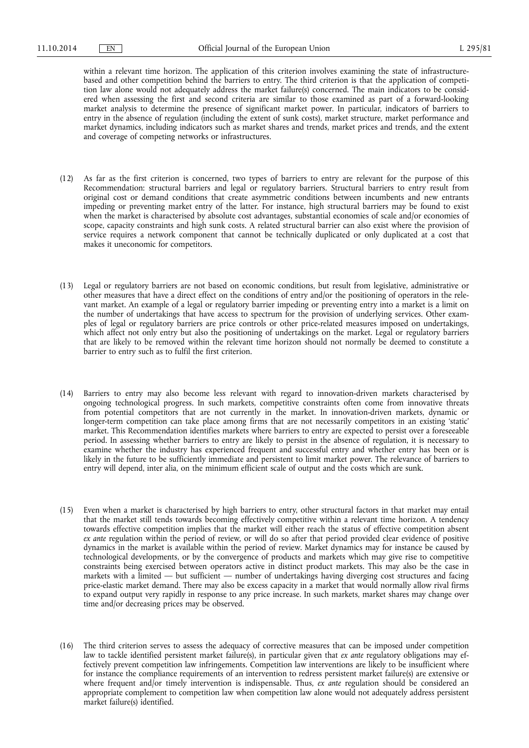within a relevant time horizon. The application of this criterion involves examining the state of infrastructurebased and other competition behind the barriers to entry. The third criterion is that the application of competition law alone would not adequately address the market failure(s) concerned. The main indicators to be considered when assessing the first and second criteria are similar to those examined as part of a forward-looking market analysis to determine the presence of significant market power. In particular, indicators of barriers to entry in the absence of regulation (including the extent of sunk costs), market structure, market performance and market dynamics, including indicators such as market shares and trends, market prices and trends, and the extent and coverage of competing networks or infrastructures.

- (12) As far as the first criterion is concerned, two types of barriers to entry are relevant for the purpose of this Recommendation: structural barriers and legal or regulatory barriers. Structural barriers to entry result from original cost or demand conditions that create asymmetric conditions between incumbents and new entrants impeding or preventing market entry of the latter. For instance, high structural barriers may be found to exist when the market is characterised by absolute cost advantages, substantial economies of scale and/or economies of scope, capacity constraints and high sunk costs. A related structural barrier can also exist where the provision of service requires a network component that cannot be technically duplicated or only duplicated at a cost that makes it uneconomic for competitors.
- (13) Legal or regulatory barriers are not based on economic conditions, but result from legislative, administrative or other measures that have a direct effect on the conditions of entry and/or the positioning of operators in the relevant market. An example of a legal or regulatory barrier impeding or preventing entry into a market is a limit on the number of undertakings that have access to spectrum for the provision of underlying services. Other examples of legal or regulatory barriers are price controls or other price-related measures imposed on undertakings, which affect not only entry but also the positioning of undertakings on the market. Legal or regulatory barriers that are likely to be removed within the relevant time horizon should not normally be deemed to constitute a barrier to entry such as to fulfil the first criterion.
- (14) Barriers to entry may also become less relevant with regard to innovation-driven markets characterised by ongoing technological progress. In such markets, competitive constraints often come from innovative threats from potential competitors that are not currently in the market. In innovation-driven markets, dynamic or longer-term competition can take place among firms that are not necessarily competitors in an existing 'static' market. This Recommendation identifies markets where barriers to entry are expected to persist over a foreseeable period. In assessing whether barriers to entry are likely to persist in the absence of regulation, it is necessary to examine whether the industry has experienced frequent and successful entry and whether entry has been or is likely in the future to be sufficiently immediate and persistent to limit market power. The relevance of barriers to entry will depend, inter alia, on the minimum efficient scale of output and the costs which are sunk.
- (15) Even when a market is characterised by high barriers to entry, other structural factors in that market may entail that the market still tends towards becoming effectively competitive within a relevant time horizon. A tendency towards effective competition implies that the market will either reach the status of effective competition absent *ex ante* regulation within the period of review, or will do so after that period provided clear evidence of positive dynamics in the market is available within the period of review. Market dynamics may for instance be caused by technological developments, or by the convergence of products and markets which may give rise to competitive constraints being exercised between operators active in distinct product markets. This may also be the case in markets with a limited — but sufficient — number of undertakings having diverging cost structures and facing price-elastic market demand. There may also be excess capacity in a market that would normally allow rival firms to expand output very rapidly in response to any price increase. In such markets, market shares may change over time and/or decreasing prices may be observed.
- (16) The third criterion serves to assess the adequacy of corrective measures that can be imposed under competition law to tackle identified persistent market failure(s), in particular given that *ex ante* regulatory obligations may effectively prevent competition law infringements. Competition law interventions are likely to be insufficient where for instance the compliance requirements of an intervention to redress persistent market failure(s) are extensive or where frequent and/or timely intervention is indispensable. Thus, *ex ante* regulation should be considered an appropriate complement to competition law when competition law alone would not adequately address persistent market failure(s) identified.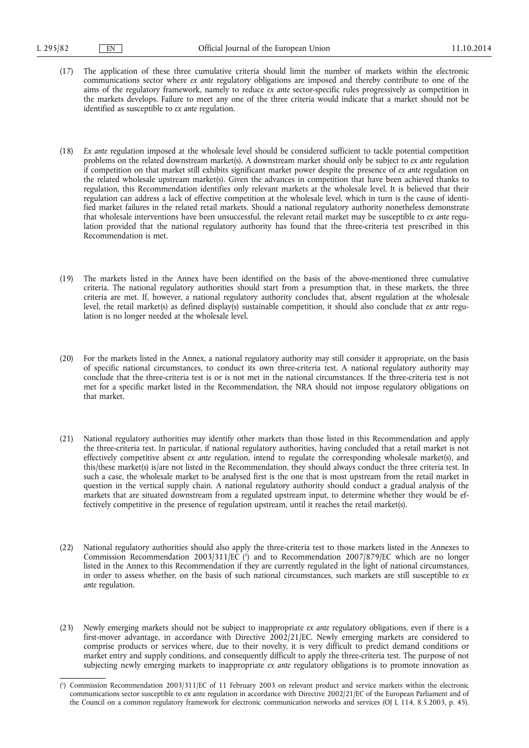- (17) The application of these three cumulative criteria should limit the number of markets within the electronic communications sector where *ex ante* regulatory obligations are imposed and thereby contribute to one of the aims of the regulatory framework, namely to reduce *ex ante* sector-specific rules progressively as competition in the markets develops. Failure to meet any one of the three criteria would indicate that a market should not be identified as susceptible to *ex ante* regulation.
- (18) *Ex ante* regulation imposed at the wholesale level should be considered sufficient to tackle potential competition problems on the related downstream market(s). A downstream market should only be subject to *ex ante* regulation if competition on that market still exhibits significant market power despite the presence of *ex ante* regulation on the related wholesale upstream market(s). Given the advances in competition that have been achieved thanks to regulation, this Recommendation identifies only relevant markets at the wholesale level. It is believed that their regulation can address a lack of effective competition at the wholesale level, which in turn is the cause of identified market failures in the related retail markets. Should a national regulatory authority nonetheless demonstrate that wholesale interventions have been unsuccessful, the relevant retail market may be susceptible to *ex ante* regulation provided that the national regulatory authority has found that the three-criteria test prescribed in this Recommendation is met.
- (19) The markets listed in the Annex have been identified on the basis of the above-mentioned three cumulative criteria. The national regulatory authorities should start from a presumption that, in these markets, the three criteria are met. If, however, a national regulatory authority concludes that, absent regulation at the wholesale level, the retail market(s) as defined display(s) sustainable competition, it should also conclude that *ex ante* regulation is no longer needed at the wholesale level.
- (20) For the markets listed in the Annex, a national regulatory authority may still consider it appropriate, on the basis of specific national circumstances, to conduct its own three-criteria test. A national regulatory authority may conclude that the three-criteria test is or is not met in the national circumstances. If the three-criteria test is not met for a specific market listed in the Recommendation, the NRA should not impose regulatory obligations on that market.
- (21) National regulatory authorities may identify other markets than those listed in this Recommendation and apply the three-criteria test. In particular, if national regulatory authorities, having concluded that a retail market is not effectively competitive absent *ex ante* regulation, intend to regulate the corresponding wholesale market(s), and this/these market(s) is/are not listed in the Recommendation, they should always conduct the three criteria test. In such a case, the wholesale market to be analysed first is the one that is most upstream from the retail market in question in the vertical supply chain. A national regulatory authority should conduct a gradual analysis of the markets that are situated downstream from a regulated upstream input, to determine whether they would be effectively competitive in the presence of regulation upstream, until it reaches the retail market(s).
- (22) National regulatory authorities should also apply the three-criteria test to those markets listed in the Annexes to Commission Recommendation 2003/311/EC ( 1 ) and to Recommendation 2007/879/EC which are no longer listed in the Annex to this Recommendation if they are currently regulated in the light of national circumstances, in order to assess whether, on the basis of such national circumstances, such markets are still susceptible to *ex ante* regulation.
- (23) Newly emerging markets should not be subject to inappropriate *ex ante* regulatory obligations, even if there is a first-mover advantage, in accordance with Directive 2002/21/EC. Newly emerging markets are considered to comprise products or services where, due to their novelty, it is very difficult to predict demand conditions or market entry and supply conditions, and consequently difficult to apply the three-criteria test. The purpose of not subjecting newly emerging markets to inappropriate *ex ante* regulatory obligations is to promote innovation as

<sup>(</sup> 1 ) Commission Recommendation 2003/311/EC of 11 February 2003 on relevant product and service markets within the electronic communications sector susceptible to ex ante regulation in accordance with Directive 2002/21/EC of the European Parliament and of the Council on a common regulatory framework for electronic communication networks and services (OJ L 114, 8.5.2003, p. 45).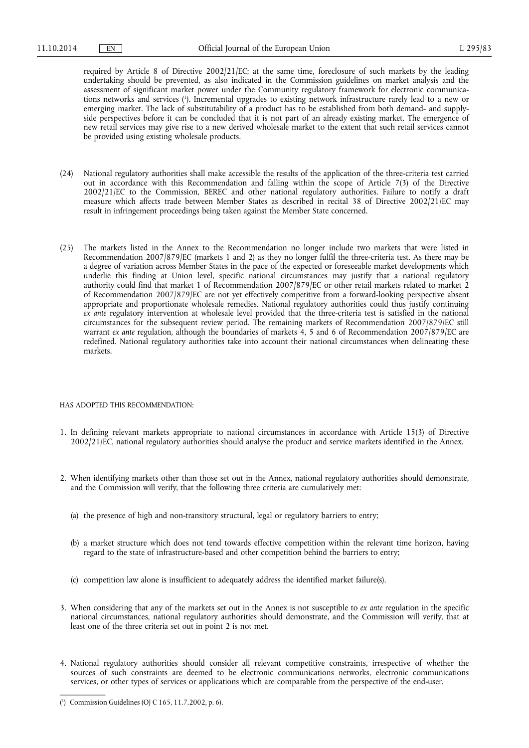required by Article 8 of Directive 2002/21/EC; at the same time, foreclosure of such markets by the leading undertaking should be prevented, as also indicated in the Commission guidelines on market analysis and the assessment of significant market power under the Community regulatory framework for electronic communications networks and services ( 1 ). Incremental upgrades to existing network infrastructure rarely lead to a new or emerging market. The lack of substitutability of a product has to be established from both demand- and supplyside perspectives before it can be concluded that it is not part of an already existing market. The emergence of new retail services may give rise to a new derived wholesale market to the extent that such retail services cannot be provided using existing wholesale products.

- (24) National regulatory authorities shall make accessible the results of the application of the three-criteria test carried out in accordance with this Recommendation and falling within the scope of Article 7(3) of the Directive 2002/21/EC to the Commission, BEREC and other national regulatory authorities. Failure to notify a draft measure which affects trade between Member States as described in recital 38 of Directive 2002/21/EC may result in infringement proceedings being taken against the Member State concerned.
- (25) The markets listed in the Annex to the Recommendation no longer include two markets that were listed in Recommendation 2007/879/EC (markets 1 and 2) as they no longer fulfil the three-criteria test. As there may be a degree of variation across Member States in the pace of the expected or foreseeable market developments which underlie this finding at Union level, specific national circumstances may justify that a national regulatory authority could find that market 1 of Recommendation 2007/879/EC or other retail markets related to market 2 of Recommendation 2007/879/EC are not yet effectively competitive from a forward-looking perspective absent appropriate and proportionate wholesale remedies. National regulatory authorities could thus justify continuing *ex ante* regulatory intervention at wholesale level provided that the three-criteria test is satisfied in the national circumstances for the subsequent review period. The remaining markets of Recommendation 2007/879/EC still warrant *ex ante* regulation, although the boundaries of markets 4, 5 and 6 of Recommendation 2007/879/EC are redefined. National regulatory authorities take into account their national circumstances when delineating these markets.

## HAS ADOPTED THIS RECOMMENDATION:

- 1. In defining relevant markets appropriate to national circumstances in accordance with Article 15(3) of Directive 2002/21/EC, national regulatory authorities should analyse the product and service markets identified in the Annex.
- 2. When identifying markets other than those set out in the Annex, national regulatory authorities should demonstrate, and the Commission will verify, that the following three criteria are cumulatively met:
	- (a) the presence of high and non-transitory structural, legal or regulatory barriers to entry;
	- (b) a market structure which does not tend towards effective competition within the relevant time horizon, having regard to the state of infrastructure-based and other competition behind the barriers to entry;
	- (c) competition law alone is insufficient to adequately address the identified market failure(s).
- 3. When considering that any of the markets set out in the Annex is not susceptible to *ex ante* regulation in the specific national circumstances, national regulatory authorities should demonstrate, and the Commission will verify, that at least one of the three criteria set out in point 2 is not met.
- 4. National regulatory authorities should consider all relevant competitive constraints, irrespective of whether the sources of such constraints are deemed to be electronic communications networks, electronic communications services, or other types of services or applications which are comparable from the perspective of the end-user.

<sup>(</sup> 1 ) Commission Guidelines (OJ C 165, 11.7.2002, p. 6).